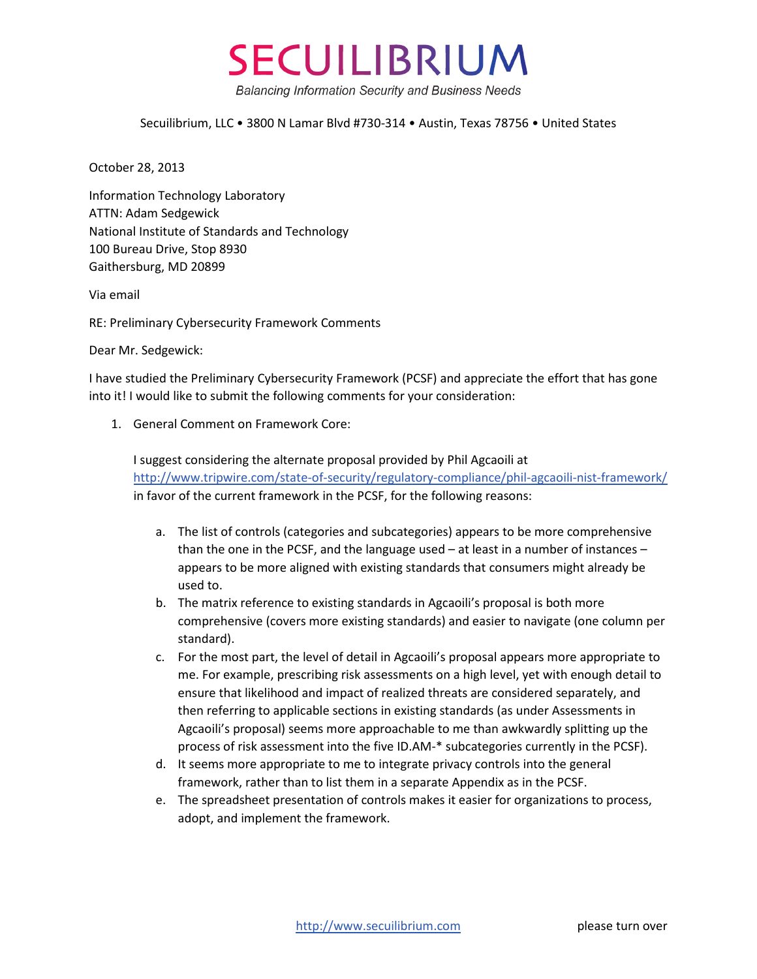

## Secuilibrium, LLC • 3800 N Lamar Blvd #730-314 • Austin, Texas 78756 • United States

October 28, 2013

Information Technology Laboratory ATTN: Adam Sedgewick National Institute of Standards and Technology 100 Bureau Drive, Stop 8930 Gaithersburg, MD 20899

Via email

RE: Preliminary Cybersecurity Framework Comments

Dear Mr. Sedgewick:

I have studied the Preliminary Cybersecurity Framework (PCSF) and appreciate the effort that has gone into it! I would like to submit the following comments for your consideration:

1. General Comment on Framework Core:

I suggest considering the alternate proposal provided by Phil Agcaoili at [http://www.tripwire.com/state](http://www.tripwire.com/state-of-security/regulatory-compliance/phil-agcaoili-nist-framework/)-of-security/regulatory-compliance/phil-agcaoili-nist-framework/ in favor of the current framework in the PCSF, for the following reasons:

- a. The list of controls (categories and subcategories) appears to be more comprehensive than the one in the PCSF, and the language used – at least in a number of instances – appears to be more aligned with existing standards that consumers might already be used to.
- b. The matrix reference to existing standards in Agcaoili's proposal is both more comprehensive (covers more existing standards) and easier to navigate (one column per standard).
- c. For the most part, the level of detail in Agcaoili's proposal appears more appropriate to me. For example, prescribing risk assessments on a high level, yet with enough detail to ensure that likelihood and impact of realized threats are considered separately, and then referring to applicable sections in existing standards (as under Assessments in Agcaoili's proposal) seems more approachable to me than awkwardly splitting up the process of risk assessment into the five ID.AM-\* subcategories currently in the PCSF).
- d. It seems more appropriate to me to integrate privacy controls into the general framework, rather than to list them in a separate Appendix as in the PCSF.
- e. The spreadsheet presentation of controls makes it easier for organizations to process, adopt, and implement the framework.